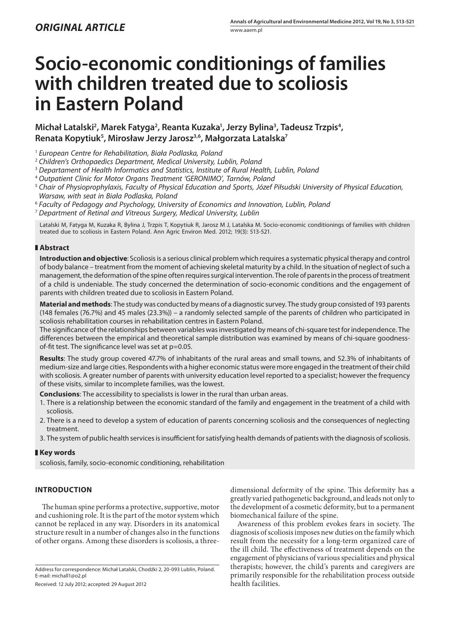# **Socio-economic conditionings of families with children treated due to scoliosis in Eastern Poland**

## Michał Latalski<sup>2</sup>, Marek Fatyga<sup>2</sup>, Reanta Kuzaka<sup>1</sup>, Jerzy Bylina<sup>3</sup>, Tadeusz Trzpis<sup>4</sup>, **Renata Kopytiuk5 , Mirosław Jerzy Jarosz3,6, Małgorzata Latalska7**

<sup>1</sup> *European Centre for Rehabilitation, Biała Podlaska, Poland*

- <sup>2</sup> *Children's Orthopaedics Department, Medical University, Lublin, Poland*
- <sup>3</sup> *Departament of Health Informatics and Statistics, Institute of Rural Health, Lublin, Poland*
- <sup>4</sup> *Outpatient Clinic for Motor Organs Treatment 'GERONIMO', Tarnów, Poland*
- <sup>5</sup> *Chair of Physioprophylaxis, Faculty of Physical Education and Sports, Józef Piłsudski University of Physical Education, Warsaw, with seat in Biała Podlaska, Poland*
- <sup>6</sup> *Faculty of Pedagogy and Psychology, University of Economics and Innovation, Lublin, Poland*
- <sup>7</sup> *Department of Retinal and Vitreous Surgery, Medical University, Lublin*

Latalski M, Fatyga M, Kuzaka R, Bylina J, Trzpis T, Kopytiuk R, Jarosz M J, Latalska M. Socio-economic conditionings of families with children treated due to scoliosis in Eastern Poland. Ann Agric Environ Med. 2012; 19(3): 513-521.

## **Abstract**

**Introduction and objective**: Scoliosis is a serious clinical problem which requires a systematic physical therapy and control of body balance – treatment from the moment of achieving skeletal maturity by a child. In the situation of neglect of such a management, the deformation of the spine often requires surgical intervention. The role of parents in the process of treatment of a child is undeniable. The study concerned the determination of socio-economic conditions and the engagement of parents with children treated due to scoliosis in Eastern Poland.

**Material and methods**: The study was conducted by means of a diagnostic survey. The study group consisted of 193 parents (148 females (76.7%) and 45 males (23.3%)) – a randomly selected sample of the parents of children who participated in scoliosis rehabilitation courses in rehabilitation centres in Eastern Poland.

The significance of the relationships between variables was investigated by means of chi-square test for independence. The differences between the empirical and theoretical sample distribution was examined by means of chi-square goodnessof-fit test. The significance level was set at  $p=0.05$ .

**Results**: The study group covered 47.7% of inhabitants of the rural areas and small towns, and 52.3% of inhabitants of medium-size and large cities. Respondents with a higher economic status were more engaged in the treatment of their child with scoliosis. A greater number of parents with university education level reported to a specialist; however the frequency of these visits, similar to incomplete families, was the lowest.

**Conclusions**: The accessibility to specialists is lower in the rural than urban areas.

- 1. There is a relationship between the economic standard of the family and engagement in the treatment of a child with scoliosis.
- 2. There is a need to develop a system of education of parents concerning scoliosis and the consequences of neglecting treatment.
- 3. The system of public health services is insufficient for satisfying health demands of patients with the diagnosis of scoliosis.

## **Key words**

scoliosis, family, socio-economic conditioning, rehabilitation

## **Introduction**

The human spine performs a protective, supportive, motor and cushioning role. It is the part of the motor system which cannot be replaced in any way. Disorders in its anatomical structure result in a number of changes also in the functions of other organs. Among these disorders is scoliosis, a three-

Received: 12 July 2012; accepted: 29 August 2012

dimensional deformity of the spine. This deformity has a greatly varied pathogenetic background, and leads not only to the development of a cosmetic deformity, but to a permanent biomechanical failure of the spine.

Awareness of this problem evokes fears in society. The diagnosis of scoliosis imposes new duties on the family which result from the necessity for a long-term organized care of the ill child. The effectiveness of treatment depends on the engagement of physicians of various specialities and physical therapists; however, the child's parents and caregivers are primarily responsible for the rehabilitation process outside health facilities.

Address for correspondence: Michał Latalski, Chodźki 2, 20-093 Lublin, Poland. E-mail: michall1@o2.pl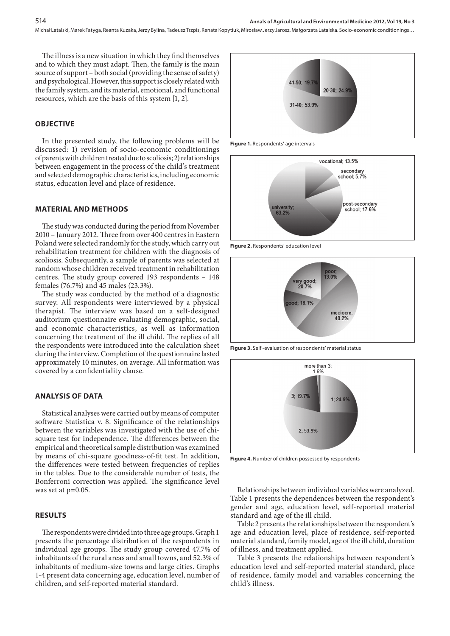The illness is a new situation in which they find themselves and to which they must adapt. Then, the family is the main source of support – both social (providing the sense of safety) and psychological. However, this support is closely related with the family system, and its material, emotional, and functional resources, which are the basis of this system [1, 2].

## **Objective**

In the presented study, the following problems will be discussed: 1) revision of socio-economic conditionings of parents with children treated due to scoliosis; 2) relationships between engagement in the process of the child's treatment and selected demographic characteristics, including economic status, education level and place of residence.

#### **Material and methods**

The study was conducted during the period from November 2010 – January 2012. Three from over 400 centres in Eastern Poland were selected randomly for the study, which carry out rehabilitation treatment for children with the diagnosis of scoliosis. Subsequently, a sample of parents was selected at random whose children received treatment in rehabilitation centres. The study group covered 193 respondents – 148 females (76.7%) and 45 males (23.3%).

The study was conducted by the method of a diagnostic survey. All respondents were interviewed by a physical therapist. The interview was based on a self-designed auditorium questionnaire evaluating demographic, social, and economic characteristics, as well as information concerning the treatment of the ill child. The replies of all the respondents were introduced into the calculation sheet during the interview. Completion of the questionnaire lasted approximately 10 minutes, on average. All information was covered by a confidentiality clause.

#### **Analysis of data**

Statistical analyses were carried out by means of computer software Statistica v. 8. Significance of the relationships between the variables was investigated with the use of chisquare test for independence. The differences between the empirical and theoretical sample distribution was examined by means of chi-square goodness-of-fit test. In addition, the differences were tested between frequencies of replies in the tables. Due to the considerable number of tests, the Bonferroni correction was applied. The significance level was set at p=0.05.

#### **Results**

The respondents were divided into three age groups. Graph 1 presents the percentage distribution of the respondents in individual age groups. The study group covered 47.7% of inhabitants of the rural areas and small towns, and 52.3% of inhabitants of medium-size towns and large cities. Graphs 1-4 present data concerning age, education level, number of children, and self-reported material standard.



**Figure 1.** Respondents' age intervals



**Figure 2.** Respondents' education level



**Figure 3.** Self -evaluation of respondents' material status



**Figure 4.** Number of children possessed by respondents

Relationships between individual variables were analyzed. Table 1 presents the dependences between the respondent's gender and age, education level, self-reported material standard and age of the ill child.

Table 2 presents the relationships between the respondent's age and education level, place of residence, self-reported material standard, family model, age of the ill child, duration of illness, and treatment applied.

Table 3 presents the relationships between respondent's education level and self-reported material standard, place of residence, family model and variables concerning the child's illness.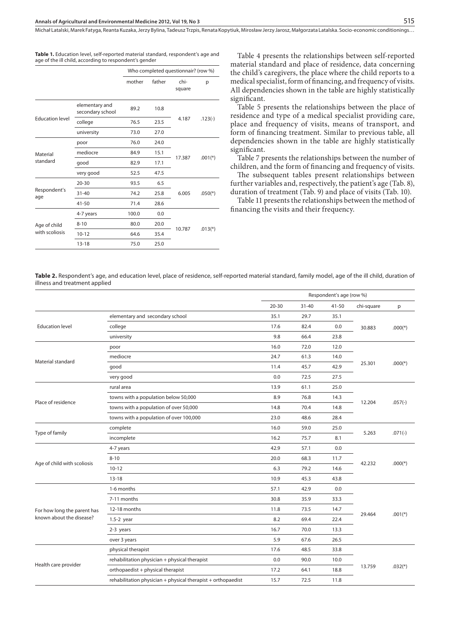**Table 1.** Education level, self-reported material standard, respondent's age and age of the ill child, according to respondent's gender

|                        |                                    |        | Who completed questionnair? (row %) |                |           |  |  |
|------------------------|------------------------------------|--------|-------------------------------------|----------------|-----------|--|--|
|                        |                                    | mother | father                              | chi-<br>square | p         |  |  |
|                        | elementary and<br>secondary school | 89.2   | 10.8                                |                |           |  |  |
| <b>Education level</b> | college                            | 76.5   | 23.5                                | 4.187          | $.123(-)$ |  |  |
|                        | university                         | 73.0   | 27.0                                |                |           |  |  |
|                        | poor                               | 76.0   | 24.0                                |                |           |  |  |
| Material               | mediocre                           | 84.9   | 15.1                                | 17.387         |           |  |  |
| standard               | good                               | 82.9   | 17.1                                |                | $.001(*)$ |  |  |
|                        | very good                          | 52.5   | 47.5                                |                |           |  |  |
|                        | $20 - 30$                          | 93.5   | 6.5                                 |                |           |  |  |
| Respondent's<br>age    | $31 - 40$                          | 74.2   | 25.8                                | 6.005          | $.050(*)$ |  |  |
|                        | $41 - 50$                          | 71.4   | 28.6                                |                |           |  |  |
|                        | 4-7 years                          | 100.0  | 0.0                                 |                |           |  |  |
| Age of child           | $8 - 10$                           | 80.0   | 20.0                                | 10.787         |           |  |  |
| with scoliosis         | $10 - 12$                          | 64.6   | 35.4                                |                | $.013(*)$ |  |  |
|                        | $13 - 18$                          | 75.0   | 25.0                                |                |           |  |  |

Table 4 presents the relationships between self-reported material standard and place of residence, data concerning the child's caregivers, the place where the child reports to a medical specialist, form of financing, and frequency of visits. All dependencies shown in the table are highly statistically significant.

Table 5 presents the relationships between the place of residence and type of a medical specialist providing care, place and frequency of visits, means of transport, and form of financing treatment. Similar to previous table, all dependencies shown in the table are highly statistically significant.

Table 7 presents the relationships between the number of children, and the form of financing and frequency of visits.

The subsequent tables present relationships between further variables and, respectively, the patient's age (Tab. 8), duration of treatment (Tab. 9) and place of visits (Tab. 10).

Table 11 presents the relationships between the method of financing the visits and their frequency.

Table 2. Respondent's age, and education level, place of residence, self-reported material standard, family model, age of the ill child, duration of illness and treatment applied

|                             |                                                              |           | Respondent's age (row %) |           |            |                       |
|-----------------------------|--------------------------------------------------------------|-----------|--------------------------|-----------|------------|-----------------------|
|                             |                                                              | $20 - 30$ | $31 - 40$                | $41 - 50$ | chi-square | p                     |
|                             | elementary and secondary school                              | 35.1      | 29.7                     | 35.1      |            |                       |
| <b>Education level</b>      | college                                                      | 17.6      | 82.4                     | 0.0       | 30.883     | $.000(*)$             |
|                             | university                                                   | 9.8       | 66.4                     | 23.8      |            |                       |
|                             | poor                                                         | 16.0      | 72.0                     | 12.0      |            |                       |
| Material standard           | mediocre                                                     | 24.7      | 61.3                     | 14.0      |            |                       |
|                             | good                                                         | 11.4      | 45.7                     | 42.9      | 25.301     | $.000(*)$             |
|                             | very good                                                    | 0.0       | 72.5                     | 27.5      |            |                       |
|                             | rural area                                                   | 13.9      | 61.1                     | 25.0      |            |                       |
| Place of residence          | towns with a population below 50,000                         | 8.9       | 76.8                     | 14.3      | 12.204     |                       |
|                             | towns with a population of over 50,000                       | 14.8      | 70.4                     | 14.8      |            | $.057(-)$             |
|                             | towns with a population of over 100,000                      | 23.0      | 48.6                     | 28.4      |            |                       |
|                             | complete                                                     | 16.0      | 59.0                     | 25.0      |            |                       |
| Type of family              | incomplete                                                   | 16.2      | 75.7                     | 8.1       | 5.263      | $.071(-)$             |
|                             | 4-7 years                                                    | 42.9      | 57.1                     | 0.0       |            |                       |
| Age of child with scoliosis | $8 - 10$                                                     | 20.0      | 68.3                     | 11.7      |            | $.000(*)$             |
|                             | $10 - 12$                                                    | 6.3       | 79.2                     | 14.6      | 42.232     |                       |
|                             | $13 - 18$                                                    | 10.9      | 45.3                     | 43.8      |            |                       |
|                             | 1-6 months                                                   | 57.1      | 42.9                     | 0.0       |            |                       |
|                             | 7-11 months                                                  | 30.8      | 35.9                     | 33.3      |            |                       |
| For how long the parent has | 12-18 months                                                 | 11.8      | 73.5                     | 14.7      |            |                       |
| known about the disease?    | $1.5-2$ year                                                 | 8.2       | 69.4                     | 22.4      | 29.464     | $.001$ <sup>(*)</sup> |
|                             | 2-3 years                                                    | 16.7      | 70.0                     | 13.3      |            |                       |
|                             | over 3 years                                                 | 5.9       | 67.6                     | 26.5      |            |                       |
|                             | physical therapist                                           | 17.6      | 48.5                     | 33.8      |            |                       |
|                             | rehabilitation physician + physical therapist                | 0.0       | 90.0                     | 10.0      |            |                       |
| Health care provider        | orthopaedist + physical therapist                            | 17.2      | 64.1                     | 18.8      | 13.759     | $.032(*)$             |
|                             | rehabilitation physician + physical therapist + orthopaedist | 15.7      | 72.5                     | 11.8      |            |                       |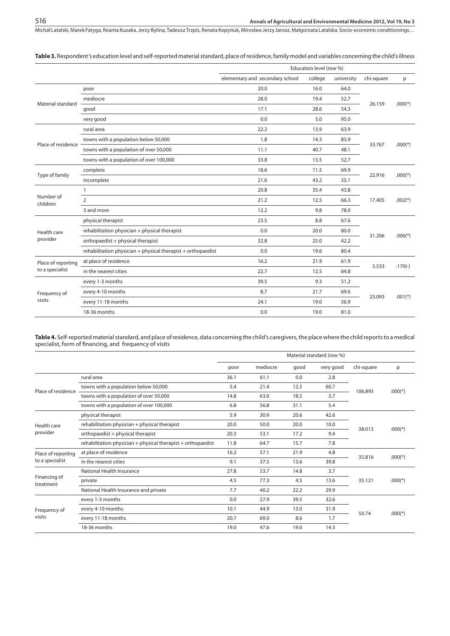**Table 3.** Respondent's education level and self-reported material standard, place of residence, family model and variables concerning the child's illness

|                                                                                                                                                                                  |                                                              |                                 | Education level (row %) |            |            |           |
|----------------------------------------------------------------------------------------------------------------------------------------------------------------------------------|--------------------------------------------------------------|---------------------------------|-------------------------|------------|------------|-----------|
|                                                                                                                                                                                  |                                                              | elementary and secondary school | college                 | university | chi-square | p         |
|                                                                                                                                                                                  | poor                                                         | 20.0                            | 16.0                    | 64.0       |            |           |
|                                                                                                                                                                                  | mediocre                                                     | 28.0                            | 19.4                    | 52.7       |            |           |
| Material standard<br>Place of residence<br>Type of family<br>Number of<br>children<br>Health care<br>provider<br>Place of reporting<br>to a specialist<br>Frequency of<br>visits | good                                                         | 17.1                            | 28.6                    | 54.3       | 26.159     | $.000(*)$ |
|                                                                                                                                                                                  | very good                                                    | 0.0                             | 5.0                     | 95.0       |            |           |
|                                                                                                                                                                                  | rural area                                                   | 22.2                            | 13.9                    | 63.9       |            |           |
|                                                                                                                                                                                  | towns with a population below 50,000                         | 1.8                             | 14.3                    | 83.9       |            |           |
|                                                                                                                                                                                  | towns with a population of over 50,000                       | 11.1                            | 40.7                    | 48.1       | 33.767     | $.000(*)$ |
|                                                                                                                                                                                  | towns with a population of over 100,000                      | 33.8                            | 13.5                    | 52.7       |            |           |
|                                                                                                                                                                                  | complete                                                     | 18.6                            | 11.5                    | 69.9       |            |           |
|                                                                                                                                                                                  | incomplete                                                   | 21.6                            | 43.2                    | 35.1       | 22.916     | $.000(*)$ |
|                                                                                                                                                                                  | $\mathbf{1}$                                                 | 20.8                            | 35.4                    | 43.8       |            |           |
|                                                                                                                                                                                  | $\overline{2}$                                               | 21.2                            | 12.5                    | 66.3       | 17.405     | $.002(*)$ |
|                                                                                                                                                                                  | 3 and more                                                   | 12.2                            | 9.8                     | 78.0       |            |           |
|                                                                                                                                                                                  | physical therapist                                           | 23.5                            | 8.8                     | 67.6       |            |           |
|                                                                                                                                                                                  | rehabilitation physician + physical therapist                | 0.0                             | 20.0                    | 80.0       |            |           |
|                                                                                                                                                                                  | orthopaedist + physical therapist                            | 32.8                            | 25.0                    | 42.2       | 31.206     | $.000(*)$ |
|                                                                                                                                                                                  | rehabilitation physician + physical therapist + orthopaedist | 0.0                             | 19.6                    | 80.4       |            |           |
|                                                                                                                                                                                  | at place of residence                                        | 16.2                            | 21.9                    | 61.9       |            |           |
|                                                                                                                                                                                  | in the nearest cities                                        | 22.7                            | 12.5                    | 64.8       | 3.533      | $.170(-)$ |
|                                                                                                                                                                                  | every 1-3 months                                             | 39.5                            | 9.3                     | 51.2       |            |           |
|                                                                                                                                                                                  | every 4-10 months                                            | 8.7                             | 21.7                    | 69.6       |            |           |
|                                                                                                                                                                                  | every 11-18 months                                           | 24.1                            | 19.0                    | 56.9       | 23.093     | $.001(*)$ |
|                                                                                                                                                                                  | 18-36 months                                                 | 0.0                             | 19.0                    | 81.0       |            |           |

**Table 4.** Self-reported material standard, and place of residence, data concerning the child's caregivers, the place where the child reports to a medical specialist, form of financing, and frequency of visits

|                                                                                                                                                                                                                                |                                         |      |          |      | Material standard (row %) |                                                |           |
|--------------------------------------------------------------------------------------------------------------------------------------------------------------------------------------------------------------------------------|-----------------------------------------|------|----------|------|---------------------------|------------------------------------------------|-----------|
|                                                                                                                                                                                                                                |                                         | poor | mediocre | good | very good                 | chi-square                                     | p         |
|                                                                                                                                                                                                                                | rural area                              | 36.1 | 61.1     | 0.0  | 2.8                       |                                                |           |
|                                                                                                                                                                                                                                | towns with a population below 50,000    | 5.4  | 21.4     | 12.5 | 60.7                      |                                                | $.000(*)$ |
| Place of residence<br>Health care<br>provider<br>Place of reporting<br>to a specialist<br>Financing of<br>treatment<br>Frequency of<br>visits                                                                                  | towns with a population of over 50,000  | 14.8 | 63.0     | 18.5 | 3.7                       |                                                |           |
|                                                                                                                                                                                                                                | towns with a population of over 100,000 | 6.8  | 56.8     | 31.1 | 5.4                       | 106.893<br>38.013<br>35.816<br>35.121<br>50.74 |           |
|                                                                                                                                                                                                                                | physical therapist                      | 5.9  | 30.9     | 20.6 | 42.6                      |                                                |           |
| rehabilitation physician + physical therapist<br>20.0<br>20.0<br>50.0<br>orthopaedist + physical therapist<br>20.3<br>53.1<br>17.2<br>rehabilitation physician $+$ physical therapist $+$ orthopaedist<br>11.8<br>64.7<br>15.7 |                                         |      |          |      | 10.0                      |                                                |           |
|                                                                                                                                                                                                                                |                                         |      |          |      | 9.4                       |                                                | $.000(*)$ |
|                                                                                                                                                                                                                                | 7.8                                     |      |          |      |                           |                                                |           |
|                                                                                                                                                                                                                                | at place of residence                   | 16.2 | 57.1     | 21.9 | 4.8                       |                                                |           |
|                                                                                                                                                                                                                                | in the nearest cities                   | 9.1  | 37.5     | 13.6 | 39.8                      |                                                | $.000(*)$ |
|                                                                                                                                                                                                                                | National Health Insurance               | 27.8 | 53.7     | 14.8 | 3.7                       |                                                |           |
|                                                                                                                                                                                                                                | private                                 | 4.5  | 77.3     | 4.5  | 13.6                      |                                                | $.000(*)$ |
|                                                                                                                                                                                                                                | National Health Insurance and private   | 7.7  | 40.2     | 22.2 | 29.9                      |                                                |           |
|                                                                                                                                                                                                                                | every 1-3 months                        | 0.0  | 27.9     | 39.5 | 32.6                      |                                                |           |
|                                                                                                                                                                                                                                | every 4-10 months                       | 10.1 | 44.9     | 13.0 | 31.9                      |                                                |           |
|                                                                                                                                                                                                                                | every 11-18 months                      | 20.7 | 69.0     | 8.6  | 1.7                       |                                                | $.000(*)$ |
|                                                                                                                                                                                                                                | 18-36 months                            | 19.0 | 47.6     | 19.0 | 14.3                      |                                                |           |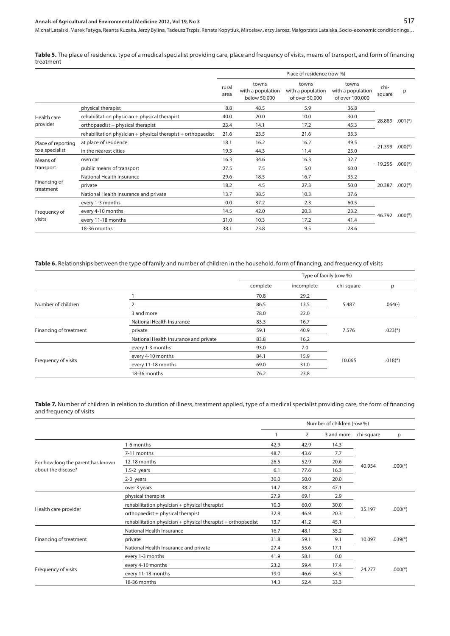**Table 5.** The place of residence, type of a medical specialist providing care, place and frequency of visits, means of transport, and form of financing treatment

|                                       |                                                              |               |                                            | Place of residence (row %)                   |                                               |                |           |
|---------------------------------------|--------------------------------------------------------------|---------------|--------------------------------------------|----------------------------------------------|-----------------------------------------------|----------------|-----------|
|                                       |                                                              | rural<br>area | towns<br>with a population<br>below 50,000 | towns<br>with a population<br>of over 50,000 | towns<br>with a population<br>of over 100,000 | chi-<br>square | p         |
|                                       | physical therapist                                           | 8.8           | 48.5                                       | 5.9                                          | 36.8                                          |                |           |
| Health care<br>provider               | rehabilitation physician + physical therapist                | 40.0          | 20.0                                       | 10.0                                         | 30.0                                          |                | $.001(*)$ |
|                                       | orthopaedist + physical therapist                            | 23.4          | 14.1                                       | 17.2                                         | 45.3                                          | 28.889         |           |
|                                       | rehabilitation physician + physical therapist + orthopaedist | 21.6          | 23.5                                       | 21.6                                         | 33.3                                          |                |           |
| Place of reporting<br>to a specialist | at place of residence                                        | 18.1          | 16.2                                       | 16.2                                         | 49.5                                          |                |           |
|                                       | in the nearest cities                                        | 19.3          | 44.3                                       | 11.4                                         | 25.0                                          | 21.399         | $.000(*)$ |
| Means of                              | own car                                                      | 16.3          | 34.6                                       | 16.3                                         | 32.7                                          |                |           |
| transport                             | public means of transport                                    | 27.5          | 7.5                                        | 5.0                                          | 60.0                                          | 19.255         | $.000(*)$ |
|                                       | National Health Insurance                                    | 29.6          | 18.5                                       | 16.7                                         | 35.2                                          |                |           |
| Financing of<br>treatment             | private                                                      | 18.2          | 4.5                                        | 27.3                                         | 50.0                                          | 20.387         | $.002(*)$ |
|                                       | National Health Insurance and private                        | 13.7          | 38.5                                       | 10.3                                         | 37.6                                          |                |           |
|                                       | every 1-3 months                                             | 0.0           | 37.2                                       | 2.3                                          | 60.5                                          |                |           |
| Frequency of                          | every 4-10 months                                            | 14.5          | 42.0                                       | 20.3                                         | 23.2                                          |                |           |
| visits                                | every 11-18 months                                           | 31.0          | 10.3                                       | 17.2                                         | 41.4                                          | 46.792         | $.000(*)$ |
|                                       | 18-36 months                                                 | 38.1          | 23.8                                       | 9.5                                          | 28.6                                          |                |           |

## **Table 6.** Relationships between the type of family and number of children in the household, form of financing, and frequency of visits

|                        |                                       |          | Type of family (row %) |            |           |
|------------------------|---------------------------------------|----------|------------------------|------------|-----------|
|                        |                                       | complete | incomplete             | chi-square | p         |
|                        |                                       | 70.8     | 29.2                   |            |           |
| Number of children     |                                       | 86.5     | 13.5                   | 5.487      | $.064(-)$ |
|                        | 3 and more                            | 78.0     | 22.0                   |            |           |
|                        | National Health Insurance             | 83.3     | 16.7                   |            |           |
| Financing of treatment | private                               | 59.1     | 40.9                   | 7.576      | $.023(*)$ |
|                        | National Health Insurance and private | 83.8     | 16.2                   |            |           |
|                        | every 1-3 months                      | 93.0     | 7.0                    |            |           |
|                        | every 4-10 months                     | 84.1     | 15.9                   |            |           |
| Frequency of visits    | every 11-18 months                    | 69.0     | 31.0                   | 10.065     | $.018(*)$ |
|                        | 18-36 months                          | 76.2     | 23.8                   |            |           |

**Table 7.** Number of children in relation to duration of illness, treatment applied, type of a medical specialist providing care, the form of financing and frequency of visits

|                                   |                                                              |      |      | Number of children (row %) |                     |           |  |
|-----------------------------------|--------------------------------------------------------------|------|------|----------------------------|---------------------|-----------|--|
|                                   |                                                              |      | 2    | 3 and more                 | chi-square          | p         |  |
|                                   | 1-6 months                                                   | 42.9 | 42.9 | 14.3                       |                     |           |  |
|                                   | 7-11 months                                                  | 48.7 | 43.6 | 7.7                        |                     |           |  |
| For how long the parent has known | 12-18 months                                                 | 26.5 | 52.9 | 20.6                       |                     |           |  |
| about the disease?                | $1.5-2$ years                                                | 6.1  | 77.6 | 16.3                       | 40.954              | $.000(*)$ |  |
|                                   | 2-3 years                                                    | 30.0 | 50.0 | 20.0                       |                     |           |  |
|                                   | over 3 years                                                 | 14.7 | 38.2 | 47.1                       |                     |           |  |
|                                   | physical therapist                                           | 27.9 | 69.1 | 2.9                        |                     |           |  |
|                                   | rehabilitation physician + physical therapist                | 10.0 | 60.0 | 30.0                       | 35.197              |           |  |
| Health care provider              | orthopaedist + physical therapist                            | 32.8 | 46.9 | 20.3                       |                     | $.000(*)$ |  |
|                                   | rehabilitation physician + physical therapist + orthopaedist | 13.7 | 41.2 | 45.1                       |                     |           |  |
|                                   | National Health Insurance                                    | 16.7 | 48.1 | 35.2                       |                     |           |  |
| Financing of treatment            | private                                                      | 31.8 | 59.1 | 9.1                        | 10.097              | $.039(*)$ |  |
|                                   | National Health Insurance and private                        | 27.4 | 55.6 | 17.1                       |                     |           |  |
|                                   | every 1-3 months                                             | 41.9 | 58.1 | 0.0                        |                     |           |  |
|                                   | every 4-10 months                                            | 23.2 | 59.4 | 17.4                       |                     |           |  |
| Frequency of visits               | every 11-18 months                                           | 19.0 | 46.6 | 34.5                       | 24.277<br>$.000(*)$ |           |  |
|                                   | 18-36 months                                                 | 14.3 | 52.4 | 33.3                       |                     |           |  |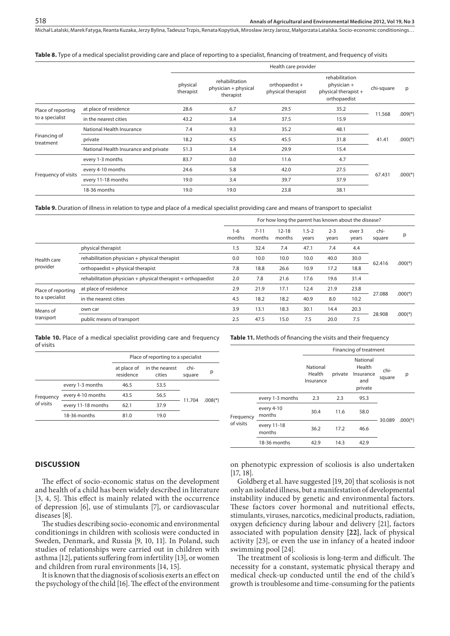**Table 8.** Type of a medical specialist providing care and place of reporting to a specialist, financing of treatment, and frequency of visits

|                           |                                       |                       |                                                     | Health care provider                 |                                                                       |            |           |
|---------------------------|---------------------------------------|-----------------------|-----------------------------------------------------|--------------------------------------|-----------------------------------------------------------------------|------------|-----------|
|                           |                                       | physical<br>therapist | rehabilitation<br>physician + physical<br>therapist | orthopaedist +<br>physical therapist | rehabilitation<br>physician +<br>physical therapist +<br>orthopaedist | chi-square | p         |
| Place of reporting        | at place of residence                 | 28.6                  | 6.7                                                 | 29.5                                 | 35.2                                                                  |            |           |
| to a specialist           | in the nearest cities                 | 43.2                  | 3.4                                                 | 37.5                                 | 15.9                                                                  | 11.568     | $.009(*)$ |
|                           | National Health Insurance             | 7.4                   | 9.3                                                 | 35.2                                 | 48.1                                                                  |            |           |
| Financing of<br>treatment | private                               | 18.2                  | 4.5                                                 | 45.5                                 | 31.8                                                                  | 41.41      | $.000(*)$ |
|                           | National Health Insurance and private | 51.3                  | 3.4                                                 | 29.9                                 | 15.4                                                                  |            |           |
|                           | every 1-3 months                      | 83.7                  | 0.0                                                 | 11.6                                 | 4.7                                                                   |            |           |
|                           | every 4-10 months                     | 24.6                  | 5.8                                                 | 42.0                                 | 27.5                                                                  |            |           |
| Frequency of visits       | every 11-18 months                    | 19.0                  | 3.4                                                 | 39.7                                 | 37.9                                                                  | 67.431     | $.000(*)$ |
|                           | 18-36 months                          | 19.0                  | 19.0                                                | 23.8                                 | 38.1                                                                  |            |           |

**Table 9.** Duration of illness in relation to type and place of a medical specialist providing care and means of transport to specialist

|                         |                                                              | For how long the parent has known about the disease?<br>$7 - 11$<br>$12 - 18$<br>$1.5 - 2$<br>$2 - 3$<br>$1-6$<br>over 3<br>months<br>months<br>months<br>years<br>years<br>years<br>47.1<br>1.5<br>32.4<br>7.4<br>7.4<br>4.4<br>0.0<br>10.0<br>10.0<br>30.0<br>10.0<br>40.0<br>7.8<br>10.9<br>26.6<br>17.2<br>18.8<br>18.8<br>2.0<br>31.4<br>21.6<br>17.6<br>7.8<br>19.6<br>12.4<br>23.8<br>2.9<br>21.9<br>17.1<br>21.9<br>40.9<br>4.5<br>18.2<br>18.2<br>8.0<br>10.2 |      |      |      |      |      |                |           |
|-------------------------|--------------------------------------------------------------|------------------------------------------------------------------------------------------------------------------------------------------------------------------------------------------------------------------------------------------------------------------------------------------------------------------------------------------------------------------------------------------------------------------------------------------------------------------------|------|------|------|------|------|----------------|-----------|
|                         |                                                              |                                                                                                                                                                                                                                                                                                                                                                                                                                                                        |      |      |      |      |      | chi-<br>square | р         |
| Health care<br>provider | physical therapist                                           |                                                                                                                                                                                                                                                                                                                                                                                                                                                                        |      |      |      |      |      |                |           |
|                         | rehabilitation physician + physical therapist                |                                                                                                                                                                                                                                                                                                                                                                                                                                                                        |      |      |      |      |      | 62.416         |           |
|                         | orthopaedist + physical therapist                            |                                                                                                                                                                                                                                                                                                                                                                                                                                                                        |      |      |      |      |      |                | $.000(*)$ |
|                         | rehabilitation physician + physical therapist + orthopaedist |                                                                                                                                                                                                                                                                                                                                                                                                                                                                        |      |      |      |      |      |                |           |
| Place of reporting      | at place of residence                                        |                                                                                                                                                                                                                                                                                                                                                                                                                                                                        |      |      |      |      |      |                |           |
| to a specialist         | in the nearest cities                                        |                                                                                                                                                                                                                                                                                                                                                                                                                                                                        |      |      |      |      |      | 27.088         | $.000(*)$ |
| Means of<br>transport   | own car                                                      | 3.9                                                                                                                                                                                                                                                                                                                                                                                                                                                                    | 13.1 | 18.3 | 30.1 | 14.4 | 20.3 |                |           |
|                         | public means of transport                                    | 2.5                                                                                                                                                                                                                                                                                                                                                                                                                                                                    | 47.5 | 15.0 | 7.5  | 20.0 | 7.5  | 28.908         | $.000(*)$ |

**Table 10.** Place of a medical specialist providing care and frequency of visits

|           |                    |           | Place of reporting to a specialist   |                |                       |
|-----------|--------------------|-----------|--------------------------------------|----------------|-----------------------|
|           |                    | residence | at place of in the nearest<br>cities | chi-<br>square | р                     |
|           | every 1-3 months   | 46.5      | 53.5                                 |                |                       |
| Frequency | every 4-10 months  | 43.5      | 56.5                                 |                |                       |
| of visits | every 11-18 months | 62.1      | 37.9                                 | 11.704         | $.008$ <sup>(*)</sup> |
|           | 18-36 months       | 81.0      | 19.0                                 |                |                       |

**Table 11.** Methods of financing the visits and their frequency

|           |                       |                                 |         | Financing of treatment                            |                |           |
|-----------|-----------------------|---------------------------------|---------|---------------------------------------------------|----------------|-----------|
|           |                       | National<br>Health<br>Insurance | private | National<br>Health<br>Insurance<br>and<br>private | chi-<br>square | р         |
|           | every 1-3 months      | 2.3                             | 2.3     | 95.3                                              |                |           |
| Frequency | every 4-10<br>months  | 30.4                            | 11.6    | 58.0                                              |                |           |
| of visits | every 11-18<br>months | 36.2                            | 17.2    | 46.6                                              | 30.089         | $.000(*)$ |
|           | 18-36 months          | 42.9                            | 14.3    | 42.9                                              |                |           |

#### **Discussion**

The effect of socio-economic status on the development and health of a child has been widely described in literature [3, 4, 5]. This effect is mainly related with the occurrence of depression [6], use of stimulants [7], or cardiovascular diseases [8].

The studies describing socio-economic and environmental conditionings in children with scoliosis were conducted in Sweden, Denmark, and Russia [9, 10, 11]. In Poland, such studies of relationships were carried out in children with asthma [12], patients suffering from infertility [13], or women and children from rural environments [14, 15].

It is known that the diagnosis of scoliosis exerts an effect on the psychology of the child [16]. The effect of the environment on phenotypic expression of scoliosis is also undertaken [17, 18].

Goldberg et al. have suggested [19, 20] that scoliosis is not only an isolated illness, but a manifestation of developmental instability induced by genetic and environmental factors. These factors cover hormonal and nutritional effects, stimulants, viruses, narcotics, medicinal products, radiation, oxygen deficiency during labour and delivery [21], factors associated with population density **[22]**, lack of physical activity [23], or even the use in infancy of a heated indoor swimming pool [24].

The treatment of scoliosis is long-term and difficult. The necessity for a constant, systematic physical therapy and medical check-up conducted until the end of the child's growth is troublesome and time-consuming for the patients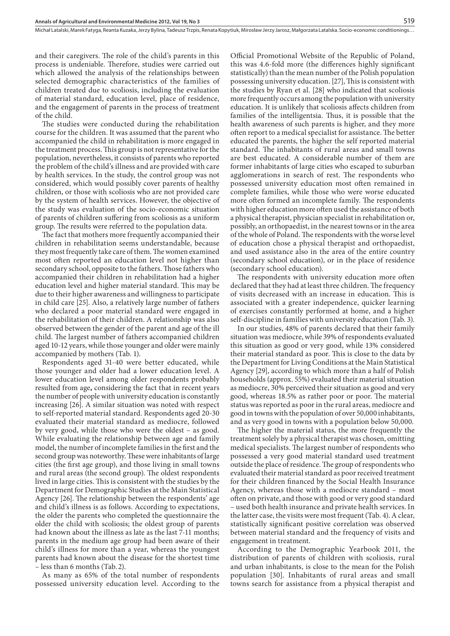and their caregivers. The role of the child's parents in this process is undeniable. Therefore, studies were carried out which allowed the analysis of the relationships between selected demographic characteristics of the families of children treated due to scoliosis, including the evaluation of material standard, education level, place of residence, and the engagement of parents in the process of treatment of the child.

The studies were conducted during the rehabilitation course for the children. It was assumed that the parent who accompanied the child in rehabilitation is more engaged in the treatment process. This group is not representative for the population, nevertheless, it consists of parents who reported the problem of the child's illness and are provided with care by health services. In the study, the control group was not considered, which would possibly cover parents of healthy children, or those with scoliosis who are not provided care by the system of health services. However, the objective of the study was evaluation of the socio-economic situation of parents of children suffering from scoliosis as a uniform group. The results were referred to the population data.

The fact that mothers more frequently accompanied their children in rehabilitation seems understandable, because they most frequently take care of them. The women examined most often reported an education level not higher than secondary school, opposite to the fathers. Those fathers who accompanied their children in rehabilitation had a higher education level and higher material standard. This may be due to their higher awareness and willingness to participate in child care [25]. Also, a relatively large number of fathers who declared a poor material standard were engaged in the rehabilitation of their children. A relationship was also observed between the gender of the parent and age of the ill child. The largest number of fathers accompanied children aged 10-12 years, while those younger and older were mainly accompanied by mothers (Tab. 1).

Respondents aged 31-40 were better educated, while those younger and older had a lower education level. A lower education level among older respondents probably resulted from age**,** considering the fact that in recent years the number of people with university education is constantly increasing [26]. A similar situation was noted with respect to self-reported material standard. Respondents aged 20-30 evaluated their material standard as mediocre, followed by very good, while those who were the oldest – as good. While evaluating the relationship between age and family model, the number of incomplete families in the first and the second group was noteworthy. These were inhabitants of large cities (the first age group), and those living in small towns and rural areas (the second group). The oldest respondents lived in large cities. This is consistent with the studies by the Department for Demographic Studies at the Main Statistical Agency [26]. The relationship between the respondents' age and child's illness is as follows. According to expectations, the older the parents who completed the questionnaire the older the child with scoliosis; the oldest group of parents had known about the illness as late as the last 7-11 months; parents in the medium age group had been aware of their child's illness for more than a year, whereas the youngest parents had known about the disease for the shortest time – less than 6 months (Tab. 2).

As many as 65% of the total number of respondents possessed university education level. According to the Official Promotional Website of the Republic of Poland, this was 4.6-fold more (the differences highly significant statistically) than the mean number of the Polish population possessing university education. [27], This is consistent with the studies by Ryan et al. [28] who indicated that scoliosis more frequently occurs among the population with university education. It is unlikely that scoliosis affects children from families of the intelligentsia. Thus, it is possible that the health awareness of such parents is higher, and they more often report to a medical specialist for assistance. The better educated the parents, the higher the self reported material standard. The inhabitants of rural areas and small towns are best educated. A considerable number of them are former inhabitants of large cities who escaped to suburban agglomerations in search of rest. The respondents who possessed university education most often remained in complete families, while those who were worse educated more often formed an incomplete family. The respondents with higher education more often used the assistance of both a physical therapist, physician specialist in rehabilitation or, possibly, an orthopaedist, in the nearest towns or in the area of the whole of Poland. The respondents with the worse level of education chose a physical therapist and orthopaedist, and used assistance also in the area of the entire country (secondary school education), or in the place of residence (secondary school education).

519

The respondents with university education more often declared that they had at least three children. The frequency of visits decreased with an increase in education. This is associated with a greater independence, quicker learning of exercises constantly performed at home, and a higher self-discipline in families with university education (Tab. 3).

In our studies, 48% of parents declared that their family situation was mediocre, while 39% of respondents evaluated this situation as good or very good, while 13% considered their material standard as poor. This is close to the data by the Department for Living Conditions at the Main Statistical Agency [29], according to which more than a half of Polish households (approx. 55%) evaluated their material situation as mediocre, 30% perceived their situation as good and very good, whereas 18.5% as rather poor or poor. The material status was reported as poor in the rural areas, mediocre and good in towns with the population of over 50,000 inhabitants, and as very good in towns with a population below 50,000.

The higher the material status, the more frequently the treatment solely by a physical therapist was chosen, omitting medical specialists. The largest number of respondents who possessed a very good material standard used treatment outside the place of residence. The group of respondents who evaluated their material standard as poor received treatment for their children financed by the Social Health Insurance Agency, whereas those with a mediocre standard – most often on private, and those with good or very good standard – used both health insurance and private health services. In the latter case, the visits were most frequent (Tab. 4). A clear, statistically significant positive correlation was observed between material standard and the frequency of visits and engagement in treatment.

According to the Demographic Yearbook 2011, the distribution of parents of children with scoliosis, rural and urban inhabitants, is close to the mean for the Polish population [30]. Inhabitants of rural areas and small towns search for assistance from a physical therapist and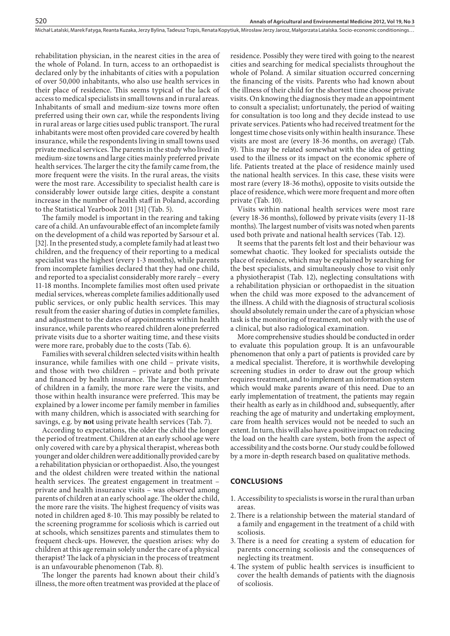rehabilitation physician, in the nearest cities in the area of the whole of Poland. In turn, access to an orthopaedist is declared only by the inhabitants of cities with a population of over 50,000 inhabitants, who also use health services in their place of residence. This seems typical of the lack of access to medical specialists in small towns and in rural areas. Inhabitants of small and medium-size towns more often preferred using their own car, while the respondents living in rural areas or large cities used public transport. The rural inhabitants were most often provided care covered by health insurance, while the respondents living in small towns used private medical services. The parents in the study who lived in medium-size towns and large cities mainly preferred private health services. The larger the city the family came from, the more frequent were the visits. In the rural areas, the visits were the most rare. Accessibility to specialist health care is considerably lower outside large cities, despite a constant increase in the number of health staff in Poland, according to the Statistical Yearbook 2011 [31] (Tab. 5).

The family model is important in the rearing and taking care of a child. An unfavourable effect of an incomplete family on the development of a child was reported by Sarsour et al. [32]. In the presented study, a complete family had at least two children, and the frequency of their reporting to a medical specialist was the highest (every 1-3 months), while parents from incomplete families declared that they had one child, and reported to a specialist considerably more rarely – every 11-18 months. Incomplete families most often used private medial services, whereas complete families additionally used public services, or only public health services. This may result from the easier sharing of duties in complete families, and adjustment to the dates of appointments within health insurance, while parents who reared children alone preferred private visits due to a shorter waiting time, and these visits were more rare, probably due to the costs (Tab. 6).

Families with several children selected visits within health insurance, while families with one child – private visits, and those with two children – private and both private and financed by health insurance. The larger the number of children in a family, the more rare were the visits, and those within health insurance were preferred. This may be explained by a lower income per family member in families with many children, which is associated with searching for savings, e.g. by **not** using private health services (Tab. 7).

According to expectations, the older the child the longer the period of treatment. Children at an early school age were only covered with care by a physical therapist, whereas both younger and older children were additionally provided care by a rehabilitation physician or orthopaedist. Also, the youngest and the oldest children were treated within the national health services. The greatest engagement in treatment – private and health insurance visits – was observed among parents of children at an early school age. The older the child, the more rare the visits. The highest frequency of visits was noted in children aged 8-10. This may possibly be related to the screening programme for scoliosis which is carried out at schools, which sensitizes parents and stimulates them to frequent check-ups. However, the question arises: why do children at this age remain solely under the care of a physical therapist? The lack of a physician in the process of treatment is an unfavourable phenomenon (Tab. 8).

The longer the parents had known about their child's illness, the more often treatment was provided at the place of residence. Possibly they were tired with going to the nearest cities and searching for medical specialists throughout the whole of Poland. A similar situation occurred concerning the financing of the visits. Parents who had known about the illness of their child for the shortest time choose private visits. On knowing the diagnosis they made an appointment to consult a specialist; unfortunately, the period of waiting for consultation is too long and they decide instead to use private services. Patients who had received treatment for the longest time chose visits only within health insurance. These visits are most are (every 18-36 months, on average) (Tab. 9). This may be related somewhat with the idea of getting used to the illness or its impact on the economic sphere of life. Patients treated at the place of residence mainly used the national health services. In this case, these visits were most rare (every 18-36 moths), opposite to visits outside the place of residence, which were more frequent and more often private (Tab. 10).

Visits within national health services were most rare (every 18-36 months), followed by private visits (every 11-18 months). The largest number of visits was noted when parents used both private and national health services (Tab. 12).

It seems that the parents felt lost and their behaviour was somewhat chaotic. They looked for specialists outside the place of residence, which may be explained by searching for the best specialists, and simultaneously chose to visit only a physiotherapist (Tab. 12), neglecting consultations with a rehabilitation physician or orthopaedist in the situation when the child was more exposed to the advancement of the illness. A child with the diagnosis of structural scoliosis should absolutely remain under the care of a physician whose task is the monitoring of treatment, not only with the use of a clinical, but also radiological examination.

More comprehensive studies should be conducted in order to evaluate this population group. It is an unfavourable phenomenon that only a part of patients is provided care by a medical specialist. Therefore, it is worthwhile developing screening studies in order to draw out the group which requires treatment, and to implement an information system which would make parents aware of this need. Due to an early implementation of treatment, the patients may regain their health as early as in childhood and, subsequently, after reaching the age of maturity and undertaking employment, care from health services would not be needed to such an extent. In turn, this will also have a positive impact on reducing the load on the health care system, both from the aspect of accessibility and the costs borne. Our study could be followed by a more in-depth research based on qualitative methods.

## **Conclusions**

- 1. Accessibility to specialists is worse in the rural than urban areas.
- 2.There is a relationship between the material standard of a family and engagement in the treatment of a child with scoliosis.
- 3. There is a need for creating a system of education for parents concerning scoliosis and the consequences of neglecting its treatment.
- 4.The system of public health services is insufficient to cover the health demands of patients with the diagnosis of scoliosis.